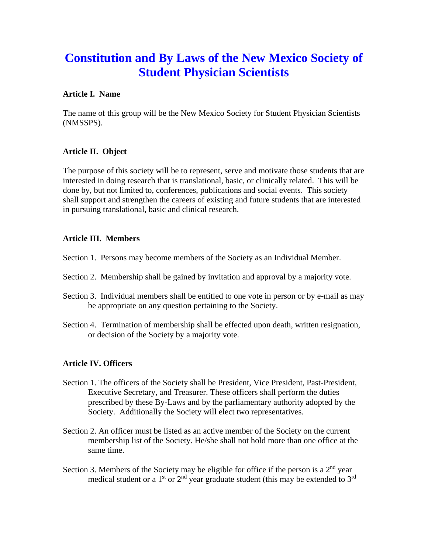# **Constitution and By Laws of the New Mexico Society of Student Physician Scientists**

## **Article I. Name**

The name of this group will be the New Mexico Society for Student Physician Scientists (NMSSPS).

# **Article II. Object**

The purpose of this society will be to represent, serve and motivate those students that are interested in doing research that is translational, basic, or clinically related. This will be done by, but not limited to, conferences, publications and social events. This society shall support and strengthen the careers of existing and future students that are interested in pursuing translational, basic and clinical research.

## **Article III. Members**

- Section 1. Persons may become members of the Society as an Individual Member.
- Section 2. Membership shall be gained by invitation and approval by a majority vote.
- Section 3. Individual members shall be entitled to one vote in person or by e-mail as may be appropriate on any question pertaining to the Society.
- Section 4. Termination of membership shall be effected upon death, written resignation, or decision of the Society by a majority vote.

## **Article IV. Officers**

- Section 1. The officers of the Society shall be President, Vice President, Past-President, Executive Secretary, and Treasurer. These officers shall perform the duties prescribed by these By-Laws and by the parliamentary authority adopted by the Society. Additionally the Society will elect two representatives.
- Section 2. An officer must be listed as an active member of the Society on the current membership list of the Society. He/she shall not hold more than one office at the same time.
- Section 3. Members of the Society may be eligible for office if the person is a  $2<sup>nd</sup>$  year medical student or a 1<sup>st</sup> or  $2<sup>nd</sup>$  year graduate student (this may be extended to 3<sup>rd</sup>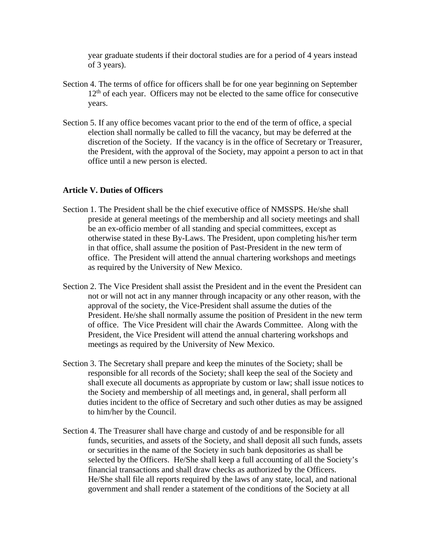year graduate students if their doctoral studies are for a period of 4 years instead of 3 years).

- Section 4. The terms of office for officers shall be for one year beginning on September  $12<sup>th</sup>$  of each year. Officers may not be elected to the same office for consecutive years.
- Section 5. If any office becomes vacant prior to the end of the term of office, a special election shall normally be called to fill the vacancy, but may be deferred at the discretion of the Society. If the vacancy is in the office of Secretary or Treasurer, the President, with the approval of the Society, may appoint a person to act in that office until a new person is elected.

#### **Article V. Duties of Officers**

- Section 1. The President shall be the chief executive office of NMSSPS. He/she shall preside at general meetings of the membership and all society meetings and shall be an ex-officio member of all standing and special committees, except as otherwise stated in these By-Laws. The President, upon completing his/her term in that office, shall assume the position of Past-President in the new term of office. The President will attend the annual chartering workshops and meetings as required by the University of New Mexico.
- Section 2. The Vice President shall assist the President and in the event the President can not or will not act in any manner through incapacity or any other reason, with the approval of the society, the Vice-President shall assume the duties of the President. He/she shall normally assume the position of President in the new term of office. The Vice President will chair the Awards Committee. Along with the President, the Vice President will attend the annual chartering workshops and meetings as required by the University of New Mexico.
- Section 3. The Secretary shall prepare and keep the minutes of the Society; shall be responsible for all records of the Society; shall keep the seal of the Society and shall execute all documents as appropriate by custom or law; shall issue notices to the Society and membership of all meetings and, in general, shall perform all duties incident to the office of Secretary and such other duties as may be assigned to him/her by the Council.
- Section 4. The Treasurer shall have charge and custody of and be responsible for all funds, securities, and assets of the Society, and shall deposit all such funds, assets or securities in the name of the Society in such bank depositories as shall be selected by the Officers. He/She shall keep a full accounting of all the Society's financial transactions and shall draw checks as authorized by the Officers. He/She shall file all reports required by the laws of any state, local, and national government and shall render a statement of the conditions of the Society at all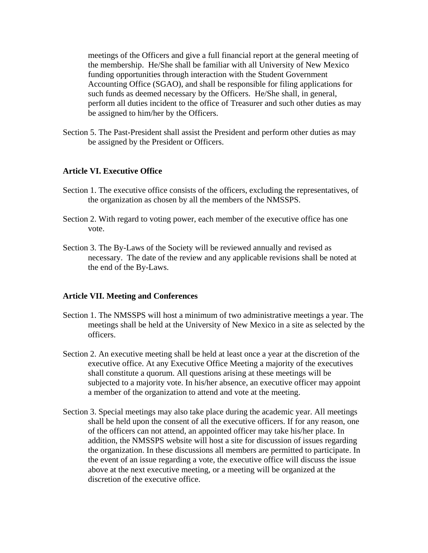meetings of the Officers and give a full financial report at the general meeting of the membership. He/She shall be familiar with all University of New Mexico funding opportunities through interaction with the Student Government Accounting Office (SGAO), and shall be responsible for filing applications for such funds as deemed necessary by the Officers. He/She shall, in general, perform all duties incident to the office of Treasurer and such other duties as may be assigned to him/her by the Officers.

Section 5. The Past-President shall assist the President and perform other duties as may be assigned by the President or Officers.

#### **Article VI. Executive Office**

- Section 1. The executive office consists of the officers, excluding the representatives, of the organization as chosen by all the members of the NMSSPS.
- Section 2. With regard to voting power, each member of the executive office has one vote.
- Section 3. The By-Laws of the Society will be reviewed annually and revised as necessary. The date of the review and any applicable revisions shall be noted at the end of the By-Laws.

#### **Article VII. Meeting and Conferences**

- Section 1. The NMSSPS will host a minimum of two administrative meetings a year. The meetings shall be held at the University of New Mexico in a site as selected by the officers.
- Section 2. An executive meeting shall be held at least once a year at the discretion of the executive office. At any Executive Office Meeting a majority of the executives shall constitute a quorum. All questions arising at these meetings will be subjected to a majority vote. In his/her absence, an executive officer may appoint a member of the organization to attend and vote at the meeting.
- Section 3. Special meetings may also take place during the academic year. All meetings shall be held upon the consent of all the executive officers. If for any reason, one of the officers can not attend, an appointed officer may take his/her place. In addition, the NMSSPS website will host a site for discussion of issues regarding the organization. In these discussions all members are permitted to participate. In the event of an issue regarding a vote, the executive office will discuss the issue above at the next executive meeting, or a meeting will be organized at the discretion of the executive office.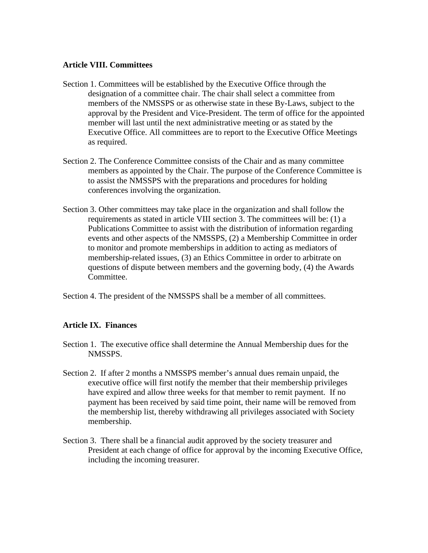#### **Article VIII. Committees**

- Section 1. Committees will be established by the Executive Office through the designation of a committee chair. The chair shall select a committee from members of the NMSSPS or as otherwise state in these By-Laws, subject to the approval by the President and Vice-President. The term of office for the appointed member will last until the next administrative meeting or as stated by the Executive Office. All committees are to report to the Executive Office Meetings as required.
- Section 2. The Conference Committee consists of the Chair and as many committee members as appointed by the Chair. The purpose of the Conference Committee is to assist the NMSSPS with the preparations and procedures for holding conferences involving the organization.
- Section 3. Other committees may take place in the organization and shall follow the requirements as stated in article VIII section 3. The committees will be: (1) a Publications Committee to assist with the distribution of information regarding events and other aspects of the NMSSPS, (2) a Membership Committee in order to monitor and promote memberships in addition to acting as mediators of membership-related issues, (3) an Ethics Committee in order to arbitrate on questions of dispute between members and the governing body, (4) the Awards Committee.
- Section 4. The president of the NMSSPS shall be a member of all committees.

## **Article IX. Finances**

- Section 1. The executive office shall determine the Annual Membership dues for the NMSSPS.
- Section 2. If after 2 months a NMSSPS member's annual dues remain unpaid, the executive office will first notify the member that their membership privileges have expired and allow three weeks for that member to remit payment. If no payment has been received by said time point, their name will be removed from the membership list, thereby withdrawing all privileges associated with Society membership.
- Section 3. There shall be a financial audit approved by the society treasurer and President at each change of office for approval by the incoming Executive Office, including the incoming treasurer.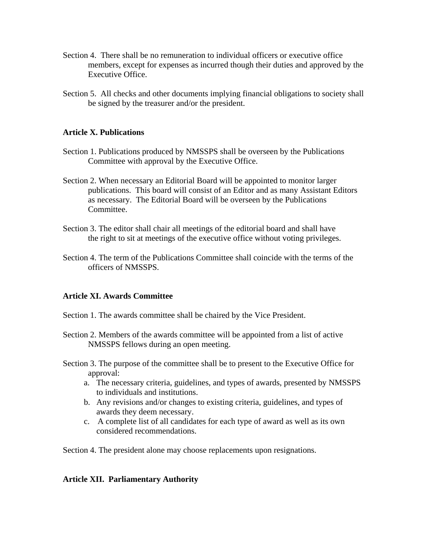- Section 4. There shall be no remuneration to individual officers or executive office members, except for expenses as incurred though their duties and approved by the Executive Office.
- Section 5. All checks and other documents implying financial obligations to society shall be signed by the treasurer and/or the president.

# **Article X. Publications**

- Section 1. Publications produced by NMSSPS shall be overseen by the Publications Committee with approval by the Executive Office.
- Section 2. When necessary an Editorial Board will be appointed to monitor larger publications. This board will consist of an Editor and as many Assistant Editors as necessary. The Editorial Board will be overseen by the Publications Committee.
- Section 3. The editor shall chair all meetings of the editorial board and shall have the right to sit at meetings of the executive office without voting privileges.
- Section 4. The term of the Publications Committee shall coincide with the terms of the officers of NMSSPS.

## **Article XI. Awards Committee**

- Section 1. The awards committee shall be chaired by the Vice President.
- Section 2. Members of the awards committee will be appointed from a list of active NMSSPS fellows during an open meeting.
- Section 3. The purpose of the committee shall be to present to the Executive Office for approval:
	- a. The necessary criteria, guidelines, and types of awards, presented by NMSSPS to individuals and institutions.
	- b. Any revisions and/or changes to existing criteria, guidelines, and types of awards they deem necessary.
	- c. A complete list of all candidates for each type of award as well as its own considered recommendations.

Section 4. The president alone may choose replacements upon resignations.

## **Article XII. Parliamentary Authority**